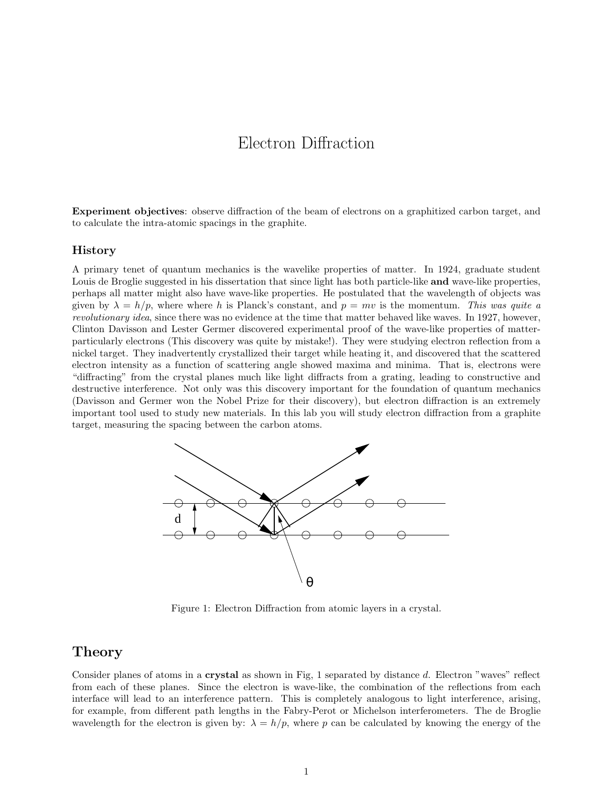# Electron Diffraction

Experiment objectives: observe diffraction of the beam of electrons on a graphitized carbon target, and to calculate the intra-atomic spacings in the graphite.

#### History

A primary tenet of quantum mechanics is the wavelike properties of matter. In 1924, graduate student Louis de Broglie suggested in his dissertation that since light has both particle-like **and** wave-like properties, perhaps all matter might also have wave-like properties. He postulated that the wavelength of objects was given by  $\lambda = h/p$ , where where h is Planck's constant, and  $p = mv$  is the momentum. This was quite a revolutionary idea, since there was no evidence at the time that matter behaved like waves. In 1927, however, Clinton Davisson and Lester Germer discovered experimental proof of the wave-like properties of matterparticularly electrons (This discovery was quite by mistake!). They were studying electron reflection from a nickel target. They inadvertently crystallized their target while heating it, and discovered that the scattered electron intensity as a function of scattering angle showed maxima and minima. That is, electrons were "diffracting" from the crystal planes much like light diffracts from a grating, leading to constructive and destructive interference. Not only was this discovery important for the foundation of quantum mechanics (Davisson and Germer won the Nobel Prize for their discovery), but electron diffraction is an extremely important tool used to study new materials. In this lab you will study electron diffraction from a graphite target, measuring the spacing between the carbon atoms.



Figure 1: Electron Diffraction from atomic layers in a crystal.

## Theory

Consider planes of atoms in a crystal as shown in Fig, 1 separated by distance d. Electron "waves" reflect from each of these planes. Since the electron is wave-like, the combination of the reflections from each interface will lead to an interference pattern. This is completely analogous to light interference, arising, for example, from different path lengths in the Fabry-Perot or Michelson interferometers. The de Broglie wavelength for the electron is given by:  $\lambda = h/p$ , where p can be calculated by knowing the energy of the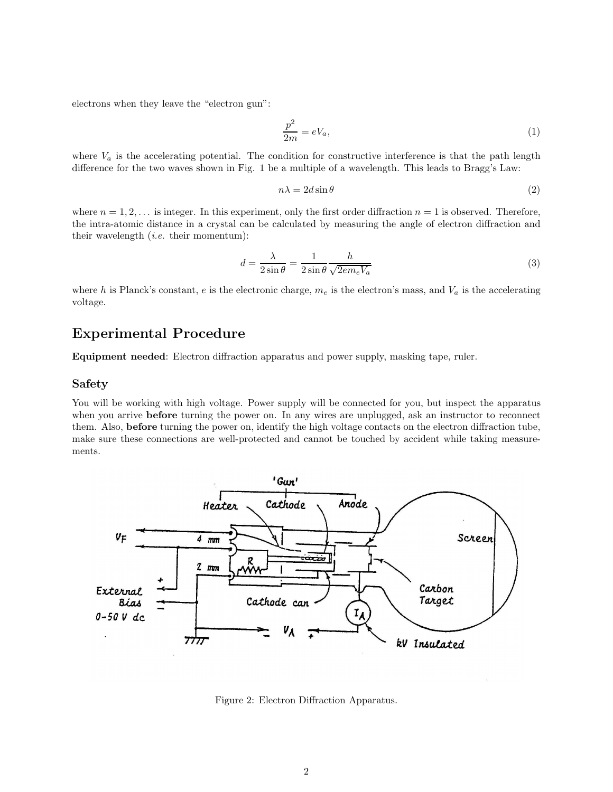electrons when they leave the "electron gun":

$$
\frac{p^2}{2m} = eV_a,\tag{1}
$$

where  $V_a$  is the accelerating potential. The condition for constructive interference is that the path length difference for the two waves shown in Fig. 1 be a multiple of a wavelength. This leads to Bragg's Law:

$$
n\lambda = 2d\sin\theta\tag{2}
$$

where  $n = 1, 2, \ldots$  is integer. In this experiment, only the first order diffraction  $n = 1$  is observed. Therefore, the intra-atomic distance in a crystal can be calculated by measuring the angle of electron diffraction and their wavelength  $(i.e.$  their momentum):

$$
d = \frac{\lambda}{2\sin\theta} = \frac{1}{2\sin\theta} \frac{h}{\sqrt{2em_eV_a}}
$$
(3)

where h is Planck's constant, e is the electronic charge,  $m_e$  is the electron's mass, and  $V_a$  is the accelerating voltage.

# Experimental Procedure

Equipment needed: Electron diffraction apparatus and power supply, masking tape, ruler.

#### Safety

You will be working with high voltage. Power supply will be connected for you, but inspect the apparatus when you arrive **before** turning the power on. In any wires are unplugged, ask an instructor to reconnect them. Also, before turning the power on, identify the high voltage contacts on the electron diffraction tube, make sure these connections are well-protected and cannot be touched by accident while taking measurements.



Figure 2: Electron Diffraction Apparatus.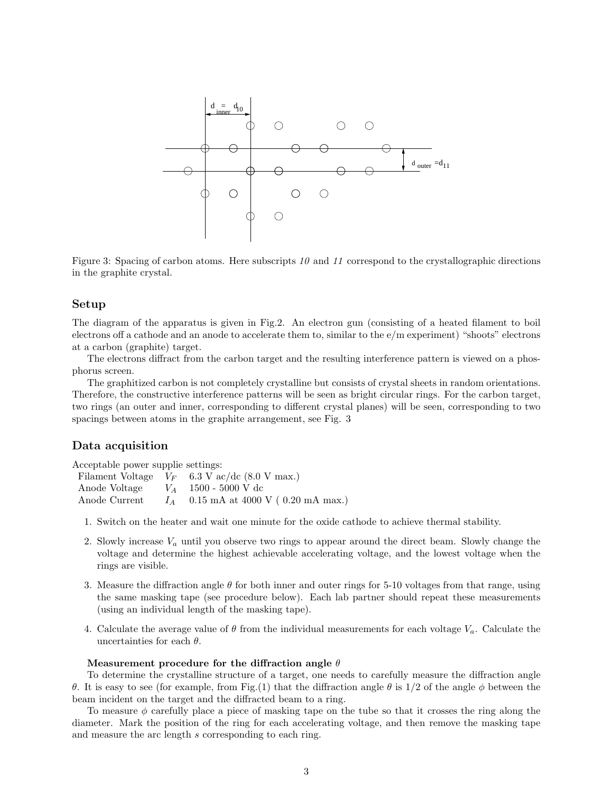

Figure 3: Spacing of carbon atoms. Here subscripts  $10$  and  $11$  correspond to the crystallographic directions in the graphite crystal.

#### Setup

The diagram of the apparatus is given in Fig.2. An electron gun (consisting of a heated filament to boil electrons off a cathode and an anode to accelerate them to, similar to the e/m experiment) "shoots" electrons at a carbon (graphite) target.

The electrons diffract from the carbon target and the resulting interference pattern is viewed on a phosphorus screen.

The graphitized carbon is not completely crystalline but consists of crystal sheets in random orientations. Therefore, the constructive interference patterns will be seen as bright circular rings. For the carbon target, two rings (an outer and inner, corresponding to different crystal planes) will be seen, corresponding to two spacings between atoms in the graphite arrangement, see Fig. 3

#### Data acquisition

Acceptable power supplie settings:

|                                      | Filament Voltage $V_F$ 6.3 V ac/dc (8.0 V max.) |
|--------------------------------------|-------------------------------------------------|
| Anode Voltage $V_A$ 1500 - 5000 V dc |                                                 |
| Anode Current                        | $I_A$ 0.15 mA at 4000 V (0.20 mA max.)          |

- 1. Switch on the heater and wait one minute for the oxide cathode to achieve thermal stability.
- 2. Slowly increase  $V_a$  until you observe two rings to appear around the direct beam. Slowly change the voltage and determine the highest achievable accelerating voltage, and the lowest voltage when the rings are visible.
- 3. Measure the diffraction angle  $\theta$  for both inner and outer rings for 5-10 voltages from that range, using the same masking tape (see procedure below). Each lab partner should repeat these measurements (using an individual length of the masking tape).
- 4. Calculate the average value of  $\theta$  from the individual measurements for each voltage  $V_a$ . Calculate the uncertainties for each  $\theta$ .

#### Measurement procedure for the diffraction angle  $\theta$

To determine the crystalline structure of a target, one needs to carefully measure the diffraction angle θ. It is easy to see (for example, from Fig.(1) that the diffraction angle θ is 1/2 of the angle φ between the beam incident on the target and the diffracted beam to a ring.

To measure  $\phi$  carefully place a piece of masking tape on the tube so that it crosses the ring along the diameter. Mark the position of the ring for each accelerating voltage, and then remove the masking tape and measure the arc length s corresponding to each ring.